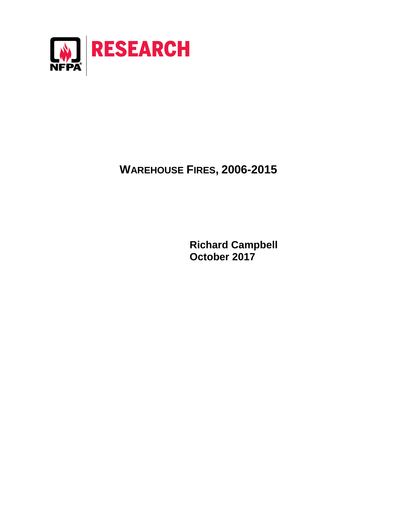

# **WAREHOUSE FIRES, 2006-2015**

**Richard Campbell October 2017**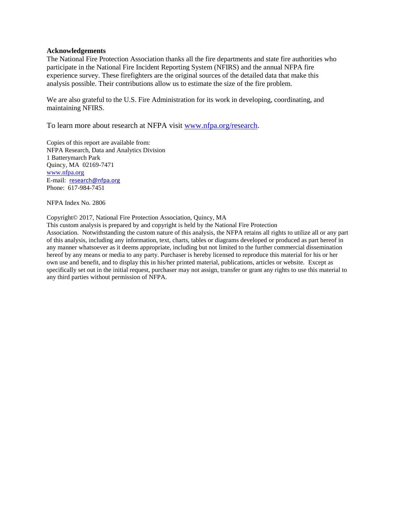#### **Acknowledgements**

The National Fire Protection Association thanks all the fire departments and state fire authorities who participate in the National Fire Incident Reporting System (NFIRS) and the annual NFPA fire experience survey. These firefighters are the original sources of the detailed data that make this analysis possible. Their contributions allow us to estimate the size of the fire problem.

We are also grateful to the U.S. Fire Administration for its work in developing, coordinating, and maintaining NFIRS.

To learn more about research at NFPA visit [www.nfpa.org/research.](http://www.nfpa.org/research)

Copies of this report are available from: NFPA Research, Data and Analytics Division 1 Batterymarch Park Quincy, MA 02169-7471 [www.nfpa.org](http://www.nfpa.org/) E-mail: [research@nfpa.org](mailto:research@nfpa.org) Phone: 617-984-7451

NFPA Index No. 2806

#### Copyright© 2017, National Fire Protection Association, Quincy, MA

This custom analysis is prepared by and copyright is held by the National Fire Protection Association. Notwithstanding the custom nature of this analysis, the NFPA retains all rights to utilize all or any part of this analysis, including any information, text, charts, tables or diagrams developed or produced as part hereof in any manner whatsoever as it deems appropriate, including but not limited to the further commercial dissemination hereof by any means or media to any party. Purchaser is hereby licensed to reproduce this material for his or her own use and benefit, and to display this in his/her printed material, publications, articles or website. Except as specifically set out in the initial request, purchaser may not assign, transfer or grant any rights to use this material to any third parties without permission of NFPA.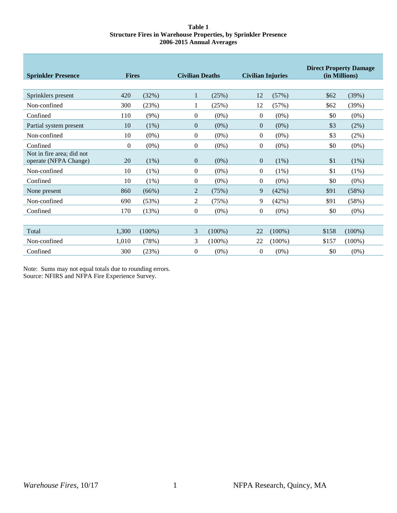#### **Table 1 Structure Fires in Warehouse Properties, by Sprinkler Presence 2006-2015 Annual Averages**

| <b>Sprinkler Presence</b>                          | <b>Fires</b> |           |                  | <b>Civilian Deaths</b> |              | <b>Civilian Injuries</b> | <b>Direct Property Damage</b><br>(in Millions) |           |
|----------------------------------------------------|--------------|-----------|------------------|------------------------|--------------|--------------------------|------------------------------------------------|-----------|
|                                                    |              |           |                  |                        |              |                          |                                                |           |
| Sprinklers present                                 | 420          | (32%)     | 1                | (25%)                  | 12           | (57%)                    | \$62                                           | (39%)     |
| Non-confined                                       | 300          | (23%)     |                  | (25%)                  | 12           | (57%)                    | \$62                                           | (39%)     |
| Confined                                           | 110          | $(9\%)$   | $\mathbf{0}$     | $(0\%)$                | $\Omega$     | $(0\%)$                  | \$0                                            | $(0\%)$   |
| Partial system present                             | 10           | (1%)      | $\theta$         | $(0\%)$                | $\theta$     | $(0\%)$                  | \$3                                            | (2%)      |
| Non-confined                                       | 10           | $(0\%)$   | $\boldsymbol{0}$ | $(0\%)$                | $\mathbf{0}$ | $(0\%)$                  | \$3                                            | $(2\%)$   |
| Confined                                           | $\theta$     | $(0\%)$   | 0                | $(0\%)$                | $\mathbf{0}$ | $(0\%)$                  | \$0                                            | $(0\%)$   |
| Not in fire area; did not<br>operate (NFPA Change) | 20           | (1%)      | $\overline{0}$   | $(0\%)$                | $\theta$     | $(1\%)$                  | \$1                                            | (1%)      |
| Non-confined                                       | 10           | $(1\%)$   | $\overline{0}$   | $(0\%)$                | $\Omega$     | $(1\%)$                  | \$1                                            | (1%)      |
| Confined                                           | 10           | (1%)      | $\overline{0}$   | $(0\%)$                | $\Omega$     | $(0\%)$                  | \$0                                            | $(0\%)$   |
| None present                                       | 860          | (66%)     | 2                | (75%)                  | 9            | (42%)                    | \$91                                           | (58%)     |
| Non-confined                                       | 690          | (53%)     | 2                | (75%)                  | 9            | (42%)                    | \$91                                           | (58%)     |
| Confined                                           | 170          | (13%)     | $\boldsymbol{0}$ | $(0\%)$                | $\Omega$     | $(0\%)$                  | \$0                                            | $(0\%)$   |
|                                                    |              |           |                  |                        |              |                          |                                                |           |
| Total                                              | 1,300        | $(100\%)$ | 3                | $(100\%)$              | 22           | $(100\%)$                | \$158                                          | $(100\%)$ |
| Non-confined                                       | 1,010        | (78%)     | 3                | $(100\%)$              | 22           | $(100\%)$                | \$157                                          | $(100\%)$ |
| Confined                                           | 300          | (23%)     | $\overline{0}$   | $(0\%)$                | $\Omega$     | $(0\%)$                  | \$0                                            | $(0\%)$   |

Note: Sums may not equal totals due to rounding errors. Source: NFIRS and NFPA Fire Experience Survey.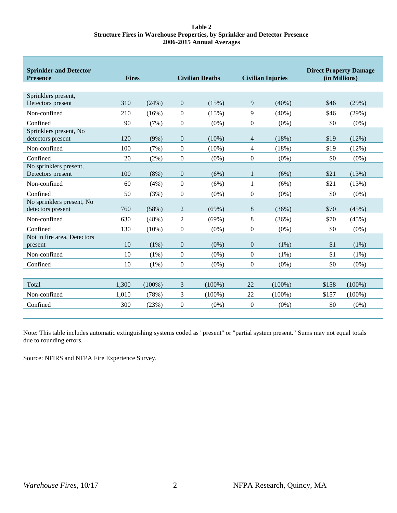#### **Table 2 Structure Fires in Warehouse Properties, by Sprinkler and Detector Presence 2006-2015 Annual Averages**

| <b>Sprinkler and Detector</b><br><b>Presence</b> | <b>Fires</b> |           | <b>Civilian Deaths</b> |           | <b>Civilian Injuries</b> |           | <b>Direct Property Damage</b><br>(in Millions) |           |
|--------------------------------------------------|--------------|-----------|------------------------|-----------|--------------------------|-----------|------------------------------------------------|-----------|
|                                                  |              |           |                        |           |                          |           |                                                |           |
| Sprinklers present,                              |              |           |                        |           |                          |           |                                                |           |
| Detectors present                                | 310          | (24%)     | $\mathbf{0}$           | (15%)     | 9                        | $(40\%)$  | \$46                                           | (29%)     |
| Non-confined                                     | 210          | (16%)     | $\boldsymbol{0}$       | (15%)     | 9                        | $(40\%)$  | \$46                                           | (29%)     |
| Confined                                         | 90           | (7%)      | $\boldsymbol{0}$       | $(0\%)$   | $\boldsymbol{0}$         | $(0\%)$   | \$0                                            | $(0\%)$   |
| Sprinklers present, No                           |              |           |                        |           |                          |           |                                                |           |
| detectors present                                | 120          | (9%)      | $\boldsymbol{0}$       | $(10\%)$  | $\overline{4}$           | (18%)     | \$19                                           | (12%)     |
| Non-confined                                     | 100          | (7%)      | $\boldsymbol{0}$       | $(10\%)$  | $\overline{4}$           | (18%)     | \$19                                           | (12%)     |
| Confined                                         | 20           | $(2\%)$   | $\boldsymbol{0}$       | $(0\%)$   | $\boldsymbol{0}$         | $(0\%)$   | \$0                                            | $(0\%)$   |
| No sprinklers present,                           |              |           |                        |           |                          |           |                                                |           |
| Detectors present                                | 100          | $(8\%)$   | $\boldsymbol{0}$       | (6%)      | 1                        | (6%)      | \$21                                           | (13%)     |
| Non-confined                                     | 60           | (4%)      | $\boldsymbol{0}$       | (6%)      | 1                        | (6%)      | \$21                                           | (13%)     |
| Confined                                         | 50           | (3%)      | $\boldsymbol{0}$       | $(0\%)$   | $\boldsymbol{0}$         | $(0\%)$   | \$0                                            | $(0\%)$   |
| No sprinklers present, No                        |              |           |                        |           |                          |           |                                                |           |
| detectors present                                | 760          | (58%)     | $\overline{c}$         | (69%)     | 8                        | (36%)     | \$70                                           | (45%)     |
| Non-confined                                     | 630          | (48%)     | $\overline{2}$         | (69%)     | 8                        | (36%)     | \$70                                           | (45%)     |
| Confined                                         | 130          | $(10\%)$  | $\boldsymbol{0}$       | $(0\%)$   | $\boldsymbol{0}$         | $(0\%)$   | \$0                                            | $(0\%)$   |
| Not in fire area, Detectors                      |              |           |                        |           |                          |           |                                                |           |
| present                                          | 10           | (1%)      | $\boldsymbol{0}$       | $(0\%)$   | $\boldsymbol{0}$         | (1%)      | \$1                                            | (1%)      |
| Non-confined                                     | 10           | $(1\%)$   | $\boldsymbol{0}$       | $(0\%)$   | $\boldsymbol{0}$         | (1%)      | \$1                                            | $(1\%)$   |
| Confined                                         | 10           | $(1\%)$   | $\boldsymbol{0}$       | $(0\%)$   | $\boldsymbol{0}$         | $(0\%)$   | \$0                                            | $(0\%)$   |
|                                                  |              |           |                        |           |                          |           |                                                |           |
| Total                                            | 1,300        | $(100\%)$ | 3                      | $(100\%)$ | 22                       | $(100\%)$ | \$158                                          | $(100\%)$ |
| Non-confined                                     | 1.010        | (78%)     | 3                      | $(100\%)$ | 22                       | $(100\%)$ | \$157                                          | $(100\%)$ |
| Confined                                         | 300          | (23%)     | $\mathbf{0}$           | $(0\%)$   | $\theta$                 | $(0\%)$   | \$0                                            | $(0\%)$   |
|                                                  |              |           |                        |           |                          |           |                                                |           |

Note: This table includes automatic extinguishing systems coded as "present" or "partial system present." Sums may not equal totals due to rounding errors.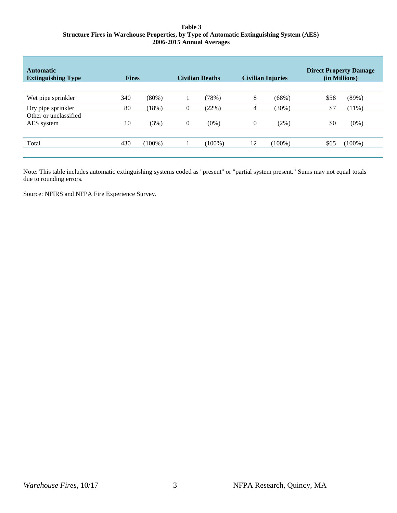#### **Table 3 Structure Fires in Warehouse Properties, by Type of Automatic Extinguishing System (AES) 2006-2015 Annual Averages**

| <b>Automatic</b><br><b>Extinguishing Type</b> | <b>Fires</b> |           |                  | <b>Civilian Deaths</b> |                  | <b>Civilian Injuries</b> |      | <b>Direct Property Damage</b><br>(in Millions) |
|-----------------------------------------------|--------------|-----------|------------------|------------------------|------------------|--------------------------|------|------------------------------------------------|
|                                               |              |           |                  |                        |                  |                          |      |                                                |
| Wet pipe sprinkler                            | 340          | $(80\%)$  |                  | (78%)                  | 8                | (68%)                    | \$58 | (89%)                                          |
| Dry pipe sprinkler                            | 80           | (18%)     | $\mathbf{0}$     | (22%)                  | 4                | (30%)                    | \$7  | $(11\%)$                                       |
| Other or unclassified                         |              |           |                  |                        |                  |                          |      |                                                |
| AES system                                    | 10           | (3%)      | $\boldsymbol{0}$ | $(0\%)$                | $\boldsymbol{0}$ | $(2\%)$                  | \$0  | $(0\%)$                                        |
|                                               |              |           |                  |                        |                  |                          |      |                                                |
| Total                                         | 430          | $(100\%)$ |                  | $(100\%)$              | 12               | $(100\%)$                | \$65 | $(100\%)$                                      |
|                                               |              |           |                  |                        |                  |                          |      |                                                |

Note: This table includes automatic extinguishing systems coded as "present" or "partial system present." Sums may not equal totals due to rounding errors.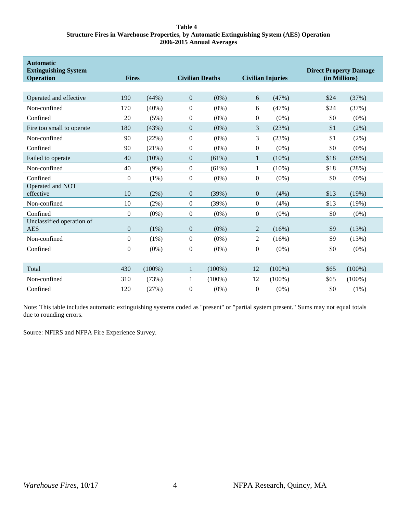#### **Table 4 Structure Fires in Warehouse Properties, by Automatic Extinguishing System (AES) Operation 2006-2015 Annual Averages**

| <b>Automatic</b><br><b>Extinguishing System</b><br><b>Operation</b> | <b>Fires</b>   |           | <b>Civilian Deaths</b> |           | <b>Civilian Injuries</b> |           | <b>Direct Property Damage</b><br>(in Millions) |           |  |
|---------------------------------------------------------------------|----------------|-----------|------------------------|-----------|--------------------------|-----------|------------------------------------------------|-----------|--|
|                                                                     |                |           |                        |           |                          |           |                                                |           |  |
| Operated and effective                                              | 190            | (44%)     | $\mathbf{0}$           | $(0\%)$   | 6                        | (47%)     | \$24                                           | (37%)     |  |
| Non-confined                                                        | 170            | $(40\%)$  | $\boldsymbol{0}$       | $(0\%)$   | 6                        | (47%)     | \$24                                           | (37%)     |  |
| Confined                                                            | 20             | (5%)      | $\boldsymbol{0}$       | $(0\%)$   | $\mathbf{0}$             | $(0\%)$   | \$0                                            | $(0\%)$   |  |
| Fire too small to operate                                           | 180            | (43%)     | $\mathbf{0}$           | $(0\%)$   | 3                        | (23%)     | \$1                                            | (2%)      |  |
| Non-confined                                                        | 90             | (22%)     | $\boldsymbol{0}$       | $(0\%)$   | 3                        | (23%)     | \$1                                            | (2%)      |  |
| Confined                                                            | 90             | (21%)     | $\boldsymbol{0}$       | $(0\%)$   | $\boldsymbol{0}$         | $(0\%)$   | \$0                                            | $(0\%)$   |  |
| Failed to operate                                                   | 40             | (10%)     | $\boldsymbol{0}$       | (61%)     | 1                        | $(10\%)$  | \$18                                           | (28%)     |  |
| Non-confined                                                        | 40             | $(9\%)$   | $\theta$               | (61%)     | 1                        | $(10\%)$  | \$18                                           | (28%)     |  |
| Confined                                                            | $\overline{0}$ | $(1\%)$   | $\boldsymbol{0}$       | $(0\%)$   | $\boldsymbol{0}$         | $(0\%)$   | \$0                                            | $(0\%)$   |  |
| Operated and NOT<br>effective                                       | 10             | $(2\%)$   | $\boldsymbol{0}$       | (39%)     | $\mathbf{0}$             | (4%)      | \$13                                           | (19%)     |  |
| Non-confined                                                        | 10             | $(2\%)$   | $\boldsymbol{0}$       | (39%)     | $\boldsymbol{0}$         | (4%)      | \$13                                           | (19%)     |  |
| Confined                                                            | $\overline{0}$ | $(0\%)$   | $\boldsymbol{0}$       | $(0\%)$   | $\boldsymbol{0}$         | $(0\%)$   | \$0                                            | $(0\%)$   |  |
| Unclassified operation of<br><b>AES</b>                             | $\overline{0}$ | $(1\%)$   | $\mathbf{0}$           | $(0\%)$   | $\overline{c}$           | (16%)     | \$9                                            | (13%)     |  |
| Non-confined                                                        | $\overline{0}$ | $(1\%)$   | $\boldsymbol{0}$       | $(0\%)$   | 2                        | (16%)     | \$9                                            | (13%)     |  |
| Confined                                                            | $\Omega$       | $(0\%)$   | $\theta$               | $(0\%)$   | $\theta$                 | $(0\%)$   | \$0                                            | $(0\%)$   |  |
|                                                                     |                |           |                        |           |                          |           |                                                |           |  |
| Total                                                               | 430            | $(100\%)$ | $\mathbf{1}$           | $(100\%)$ | 12                       | $(100\%)$ | \$65                                           | $(100\%)$ |  |
| Non-confined                                                        | 310            | (73%)     | 1                      | $(100\%)$ | 12                       | $(100\%)$ | \$65                                           | $(100\%)$ |  |
| Confined                                                            | 120            | (27%)     | $\mathbf{0}$           | $(0\%)$   | $\mathbf{0}$             | $(0\%)$   | \$0                                            | $(1\%)$   |  |

Note: This table includes automatic extinguishing systems coded as "present" or "partial system present." Sums may not equal totals due to rounding errors.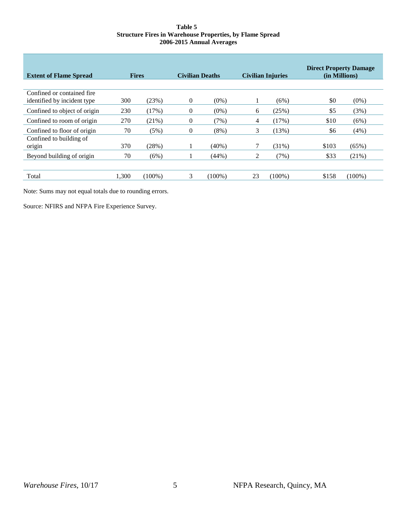#### **Table 5 Structure Fires in Warehouse Properties, by Flame Spread 2006-2015 Annual Averages**

| <b>Extent of Flame Spread</b>                              | <b>Fires</b> |           | <b>Civilian Deaths</b> |           | <b>Civilian Injuries</b> |           | <b>Direct Property Damage</b><br>(in Millions) |           |
|------------------------------------------------------------|--------------|-----------|------------------------|-----------|--------------------------|-----------|------------------------------------------------|-----------|
| Confined or contained fire.<br>identified by incident type | 300          | (23%)     | $\theta$               | $(0\%)$   |                          | (6%)      | \$0                                            | $(0\%)$   |
| Confined to object of origin                               | 230          | (17%)     | $\overline{0}$         | $(0\%)$   | 6                        | (25%)     | \$5                                            | (3%)      |
| Confined to room of origin                                 | 270          | (21%)     | $\Omega$               | (7%)      | 4                        | (17%)     | \$10                                           | (6%)      |
| Confined to floor of origin                                | 70           | (5%)      | $\Omega$               | (8%)      | 3                        | (13%)     | \$6                                            | (4%)      |
| Confined to building of<br>origin                          | 370          | (28%)     |                        | $(40\%)$  |                          | (31%)     | \$103                                          | (65%)     |
| Beyond building of origin                                  | 70           | (6%)      |                        | (44%)     | 2                        | (7%)      | \$33                                           | (21%)     |
|                                                            |              |           |                        |           |                          |           |                                                |           |
| Total                                                      | 1,300        | $(100\%)$ | 3                      | $(100\%)$ | 23                       | $(100\%)$ | \$158                                          | $(100\%)$ |

Note: Sums may not equal totals due to rounding errors.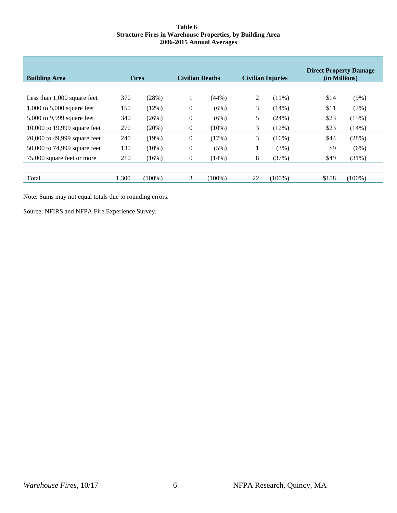#### **Table 6 Structure Fires in Warehouse Properties, by Building Area 2006-2015 Annual Averages**

| <b>Building Area</b>          | <b>Fires</b> |           | <b>Civilian Deaths</b> |           | <b>Civilian Injuries</b> |           | <b>Direct Property Damage</b><br>(in Millions) |           |
|-------------------------------|--------------|-----------|------------------------|-----------|--------------------------|-----------|------------------------------------------------|-----------|
|                               |              |           |                        |           |                          |           |                                                |           |
| Less than $1,000$ square feet | 370          | (28%)     |                        | (44%)     | 2                        | $(11\%)$  | \$14                                           | $(9\%)$   |
| $1,000$ to 5,000 square feet  | 150          | (12%)     | $\overline{0}$         | (6%)      | 3                        | $(14\%)$  | \$11                                           | (7%)      |
| 5,000 to 9,999 square feet    | 340          | (26%)     | $\overline{0}$         | (6%)      | 5                        | (24%)     | \$23                                           | (15%)     |
| 10,000 to 19,999 square feet  | 270          | (20%)     | $\theta$               | $(10\%)$  | 3                        | (12%)     | \$23                                           | (14%)     |
| 20,000 to 49,999 square feet  | 240          | (19%)     | $\left($               | (17%)     | 3                        | (16%)     | \$44                                           | (28%)     |
| 50,000 to 74,999 square feet  | 130          | $(10\%)$  | $\theta$               | (5%)      |                          | (3%)      | \$9                                            | (6%)      |
| 75,000 square feet or more    | 210          | (16%)     | $\theta$               | (14%)     | 8                        | (37%)     | \$49                                           | (31%)     |
|                               |              |           |                        |           |                          |           |                                                |           |
| Total                         | 1,300        | $(100\%)$ | 3                      | $(100\%)$ | 22                       | $(100\%)$ | \$158                                          | $(100\%)$ |

Note: Sums may not equal totals due to rounding errors.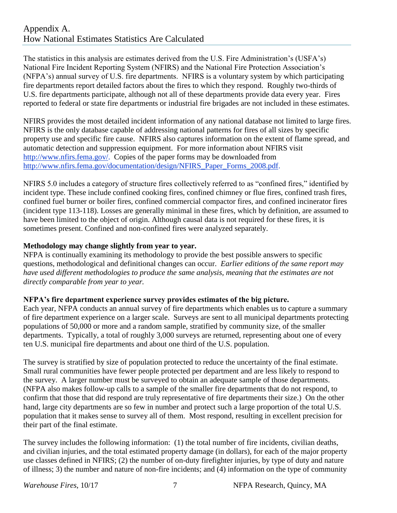## Appendix A. How National Estimates Statistics Are Calculated

The statistics in this analysis are estimates derived from the U.S. Fire Administration's (USFA's) National Fire Incident Reporting System (NFIRS) and the National Fire Protection Association's (NFPA's) annual survey of U.S. fire departments. NFIRS is a voluntary system by which participating fire departments report detailed factors about the fires to which they respond. Roughly two-thirds of U.S. fire departments participate, although not all of these departments provide data every year. Fires reported to federal or state fire departments or industrial fire brigades are not included in these estimates.

NFIRS provides the most detailed incident information of any national database not limited to large fires. NFIRS is the only database capable of addressing national patterns for fires of all sizes by specific property use and specific fire cause. NFIRS also captures information on the extent of flame spread, and automatic detection and suppression equipment. For more information about NFIRS visit [http://www.nfirs.fema.gov/.](http://www.nfirs.fema.gov/) Copies of the paper forms may be downloaded from [http://www.nfirs.fema.gov/documentation/design/NFIRS\\_Paper\\_Forms\\_2008.pdf.](http://www.nfirs.fema.gov/documentation/design/NFIRS_Paper_Forms_2008.pdf)

NFIRS 5.0 includes a category of structure fires collectively referred to as "confined fires," identified by incident type. These include confined cooking fires, confined chimney or flue fires, confined trash fires, confined fuel burner or boiler fires, confined commercial compactor fires, and confined incinerator fires (incident type 113-118). Losses are generally minimal in these fires, which by definition, are assumed to have been limited to the object of origin. Although causal data is not required for these fires, it is sometimes present. Confined and non-confined fires were analyzed separately.

## **Methodology may change slightly from year to year.**

NFPA is continually examining its methodology to provide the best possible answers to specific questions, methodological and definitional changes can occur. *Earlier editions of the same report may have used different methodologies to produce the same analysis, meaning that the estimates are not directly comparable from year to year.* 

## **NFPA's fire department experience survey provides estimates of the big picture.**

Each year, NFPA conducts an annual survey of fire departments which enables us to capture a summary of fire department experience on a larger scale. Surveys are sent to all municipal departments protecting populations of 50,000 or more and a random sample, stratified by community size, of the smaller departments. Typically, a total of roughly 3,000 surveys are returned, representing about one of every ten U.S. municipal fire departments and about one third of the U.S. population.

The survey is stratified by size of population protected to reduce the uncertainty of the final estimate. Small rural communities have fewer people protected per department and are less likely to respond to the survey. A larger number must be surveyed to obtain an adequate sample of those departments. (NFPA also makes follow-up calls to a sample of the smaller fire departments that do not respond, to confirm that those that did respond are truly representative of fire departments their size.) On the other hand, large city departments are so few in number and protect such a large proportion of the total U.S. population that it makes sense to survey all of them. Most respond, resulting in excellent precision for their part of the final estimate.

The survey includes the following information: (1) the total number of fire incidents, civilian deaths, and civilian injuries, and the total estimated property damage (in dollars), for each of the major property use classes defined in NFIRS; (2) the number of on-duty firefighter injuries, by type of duty and nature of illness; 3) the number and nature of non-fire incidents; and (4) information on the type of community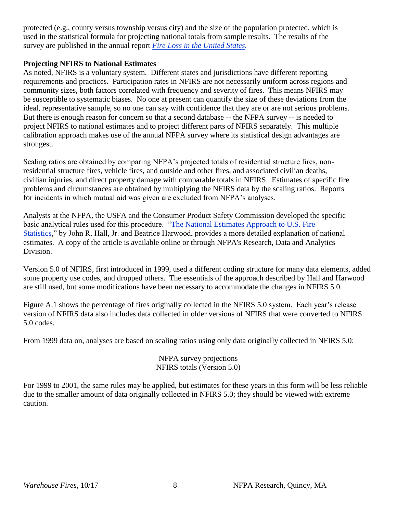protected (e.g., county versus township versus city) and the size of the population protected, which is used in the statistical formula for projecting national totals from sample results. The results of the survey are published in the annual report *[Fire Loss in the United States.](http://www.nfpa.org/news-and-research/fire-statistics-and-reports/fire-statistics/fires-in-the-us/overall-fire-problem/fire-loss-in-the-united-states)*

## **Projecting NFIRS to National Estimates**

As noted, NFIRS is a voluntary system. Different states and jurisdictions have different reporting requirements and practices. Participation rates in NFIRS are not necessarily uniform across regions and community sizes, both factors correlated with frequency and severity of fires. This means NFIRS may be susceptible to systematic biases. No one at present can quantify the size of these deviations from the ideal, representative sample, so no one can say with confidence that they are or are not serious problems. But there is enough reason for concern so that a second database -- the NFPA survey -- is needed to project NFIRS to national estimates and to project different parts of NFIRS separately. This multiple calibration approach makes use of the annual NFPA survey where its statistical design advantages are strongest.

Scaling ratios are obtained by comparing NFPA's projected totals of residential structure fires, nonresidential structure fires, vehicle fires, and outside and other fires, and associated civilian deaths, civilian injuries, and direct property damage with comparable totals in NFIRS. Estimates of specific fire problems and circumstances are obtained by multiplying the NFIRS data by the scaling ratios. Reports for incidents in which mutual aid was given are excluded from NFPA's analyses.

Analysts at the NFPA, the USFA and the Consumer Product Safety Commission developed the specific basic analytical rules used for this procedure. ["The National Estimates Approach to U.S. Fire](http://www.nfpa.org/news-and-research/fire-statistics-and-reports/fire-statistics/how-nfpa-estimates-fires-and-fire-losses)  [Statistics,](http://www.nfpa.org/news-and-research/fire-statistics-and-reports/fire-statistics/how-nfpa-estimates-fires-and-fire-losses)" by John R. Hall, Jr. and Beatrice Harwood, provides a more detailed explanation of national estimates. A copy of the article is available online or through NFPA's Research, Data and Analytics Division.

Version 5.0 of NFIRS, first introduced in 1999, used a different coding structure for many data elements, added some property use codes, and dropped others. The essentials of the approach described by Hall and Harwood are still used, but some modifications have been necessary to accommodate the changes in NFIRS 5.0.

Figure A.1 shows the percentage of fires originally collected in the NFIRS 5.0 system. Each year's release version of NFIRS data also includes data collected in older versions of NFIRS that were converted to NFIRS 5.0 codes.

From 1999 data on, analyses are based on scaling ratios using only data originally collected in NFIRS 5.0:

## NFPA survey projections NFIRS totals (Version 5.0)

For 1999 to 2001, the same rules may be applied, but estimates for these years in this form will be less reliable due to the smaller amount of data originally collected in NFIRS 5.0; they should be viewed with extreme caution.